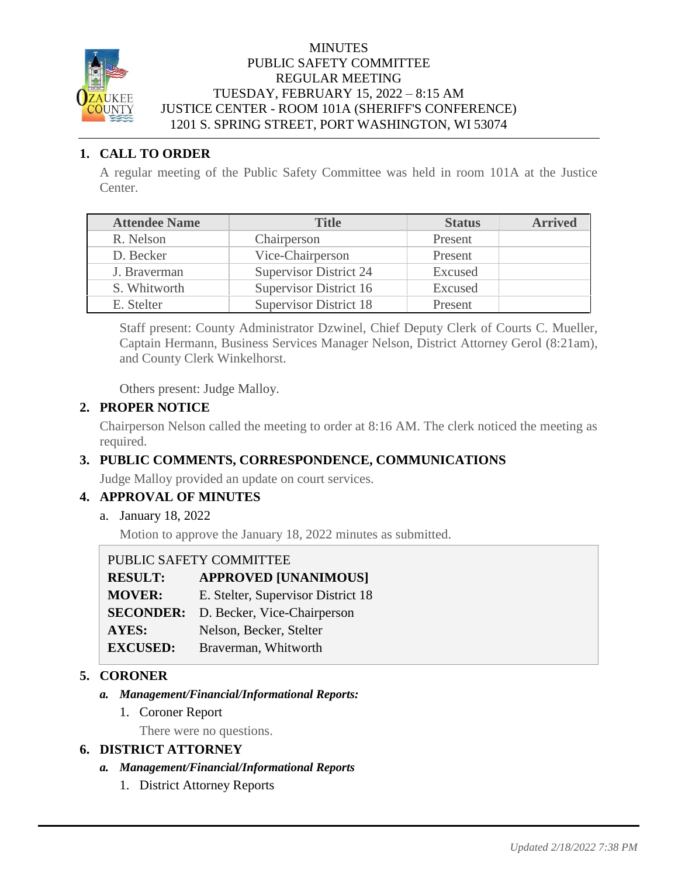

#### MINUTES PUBLIC SAFETY COMMITTEE REGULAR MEETING TUESDAY, FEBRUARY 15, 2022 – 8:15 AM JUSTICE CENTER - ROOM 101A (SHERIFF'S CONFERENCE) 1201 S. SPRING STREET, PORT WASHINGTON, WI 53074

## **1. CALL TO ORDER**

A regular meeting of the Public Safety Committee was held in room 101A at the Justice Center.

| <b>Attendee Name</b> | <b>Title</b>                  | <b>Status</b> | <b>Arrived</b> |
|----------------------|-------------------------------|---------------|----------------|
| R. Nelson            | Chairperson                   | Present       |                |
| D. Becker            | Vice-Chairperson              | Present       |                |
| J. Braverman         | <b>Supervisor District 24</b> | Excused       |                |
| S. Whitworth         | Supervisor District 16        | Excused       |                |
| E. Stelter           | <b>Supervisor District 18</b> | Present       |                |

Staff present: County Administrator Dzwinel, Chief Deputy Clerk of Courts C. Mueller, Captain Hermann, Business Services Manager Nelson, District Attorney Gerol (8:21am), and County Clerk Winkelhorst.

Others present: Judge Malloy.

### **2. PROPER NOTICE**

Chairperson Nelson called the meeting to order at 8:16 AM. The clerk noticed the meeting as required.

# **3. PUBLIC COMMENTS, CORRESPONDENCE, COMMUNICATIONS**

Judge Malloy provided an update on court services.

# **4. APPROVAL OF MINUTES**

a. January 18, 2022

Motion to approve the January 18, 2022 minutes as submitted.

PUBLIC SAFETY COMMITTEE

| <b>RESULT:</b>  | <b>APPROVED [UNANIMOUS]</b>                  |
|-----------------|----------------------------------------------|
| <b>MOVER:</b>   | E. Stelter, Supervisor District 18           |
|                 | <b>SECONDER:</b> D. Becker, Vice-Chairperson |
| <b>AYES:</b>    | Nelson, Becker, Stelter                      |
| <b>EXCUSED:</b> | Braverman, Whitworth                         |
|                 |                                              |

### **5. CORONER**

- *a. Management/Financial/Informational Reports:*
	- 1. Coroner Report

There were no questions.

### **6. DISTRICT ATTORNEY**

- *a. Management/Financial/Informational Reports*
	- 1. District Attorney Reports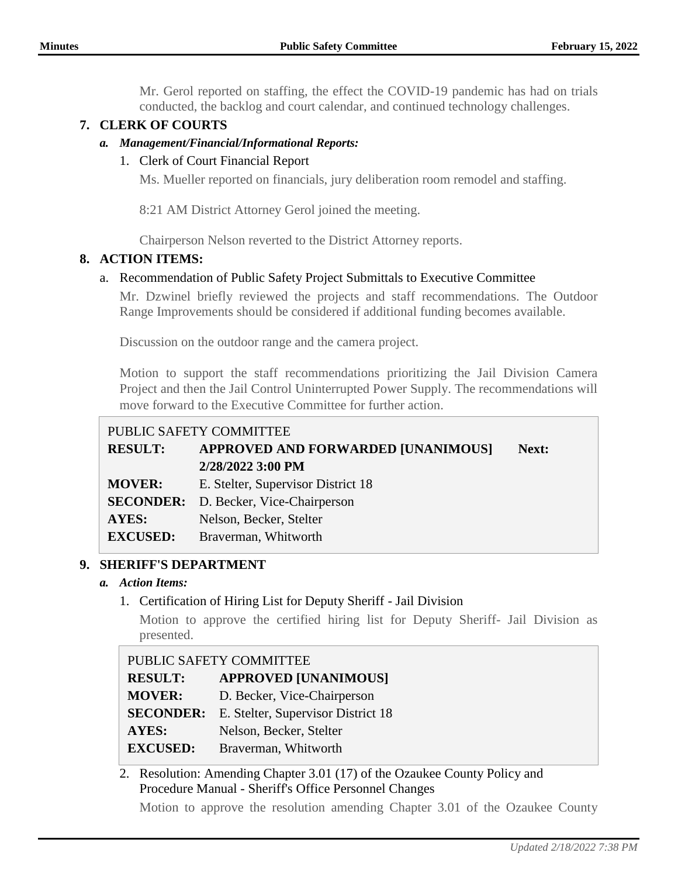Mr. Gerol reported on staffing, the effect the COVID-19 pandemic has had on trials conducted, the backlog and court calendar, and continued technology challenges.

# **7. CLERK OF COURTS**

## *a. Management/Financial/Informational Reports:*

## 1. Clerk of Court Financial Report

Ms. Mueller reported on financials, jury deliberation room remodel and staffing.

8:21 AM District Attorney Gerol joined the meeting.

Chairperson Nelson reverted to the District Attorney reports.

### **8. ACTION ITEMS:**

### a. Recommendation of Public Safety Project Submittals to Executive Committee

Mr. Dzwinel briefly reviewed the projects and staff recommendations. The Outdoor Range Improvements should be considered if additional funding becomes available.

Discussion on the outdoor range and the camera project.

Motion to support the staff recommendations prioritizing the Jail Division Camera Project and then the Jail Control Uninterrupted Power Supply. The recommendations will move forward to the Executive Committee for further action.

## PUBLIC SAFETY COMMITTEE

| <b>RESULT:</b>  | <b>APPROVED AND FORWARDED [UNANIMOUS]</b><br>2/28/2022 3:00 PM | Next: |
|-----------------|----------------------------------------------------------------|-------|
| <b>MOVER:</b>   | E. Stelter, Supervisor District 18                             |       |
|                 | <b>SECONDER:</b> D. Becker, Vice-Chairperson                   |       |
| <b>AYES:</b>    | Nelson, Becker, Stelter                                        |       |
| <b>EXCUSED:</b> | Braverman, Whitworth                                           |       |

### **9. SHERIFF'S DEPARTMENT**

### *a. Action Items:*

1. Certification of Hiring List for Deputy Sheriff - Jail Division

Motion to approve the certified hiring list for Deputy Sheriff- Jail Division as presented.

| PUBLIC SAFETY COMMITTEE |                                    |  |
|-------------------------|------------------------------------|--|
| <b>RESULT:</b>          | <b>APPROVED [UNANIMOUS]</b>        |  |
| <b>MOVER:</b>           | D. Becker, Vice-Chairperson        |  |
| <b>SECONDER:</b>        | E. Stelter, Supervisor District 18 |  |
| AYES:                   | Nelson, Becker, Stelter            |  |
| <b>EXCUSED:</b>         | Braverman, Whitworth               |  |

# 2. Resolution: Amending Chapter 3.01 (17) of the Ozaukee County Policy and Procedure Manual - Sheriff's Office Personnel Changes

Motion to approve the resolution amending Chapter 3.01 of the Ozaukee County